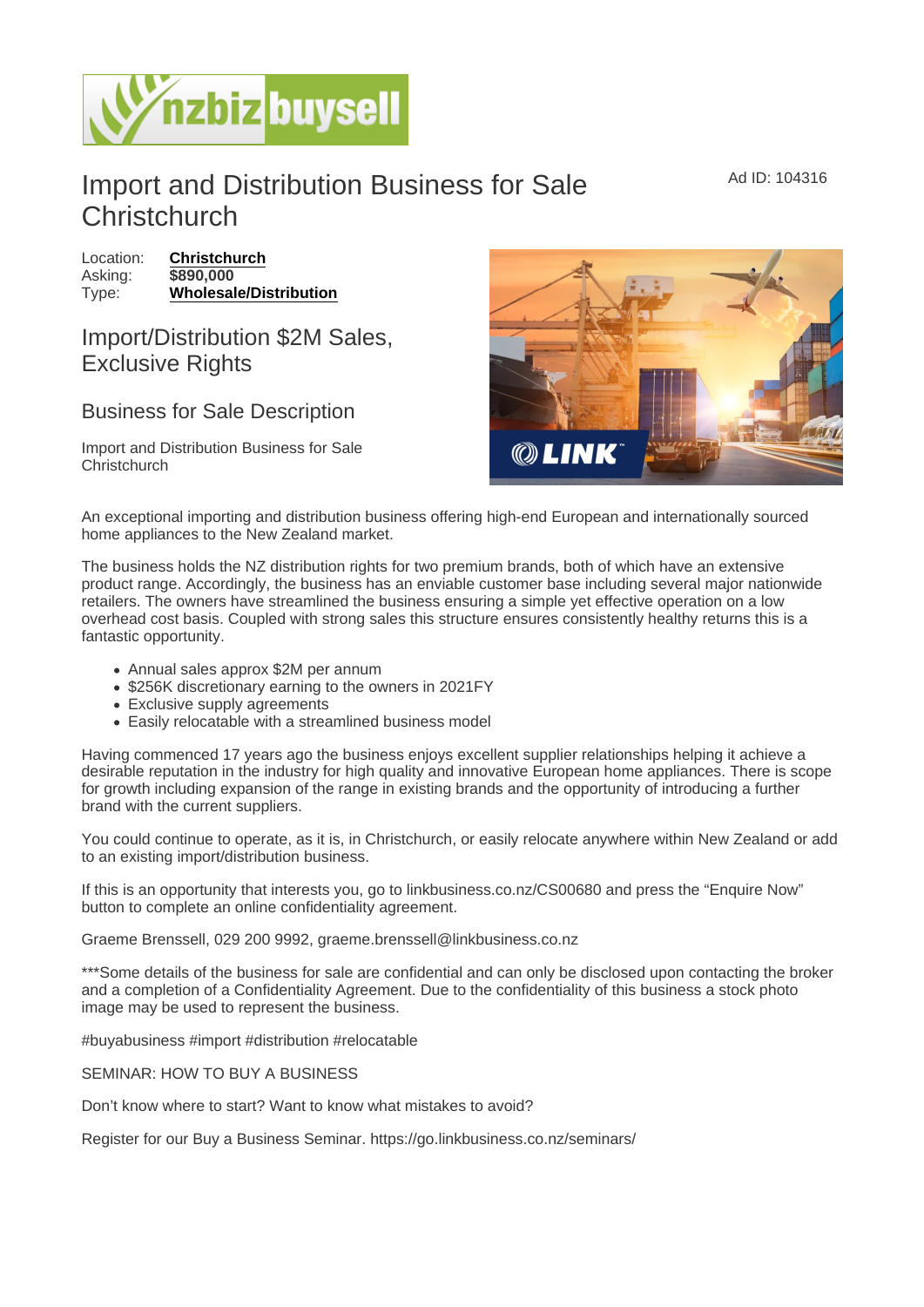## Import and Distribution Business for Sale **Christchurch**

Location: [Christchurch](https://www.nzbizbuysell.co.nz/businesses-for-sale/location/Christchurch) Asking: \$890,000 Type: [Wholesale/Distribution](https://www.nzbizbuysell.co.nz/businesses-for-sale/Wholesale--Distribution/New-Zealand)

## Import/Distribution \$2M Sales, Exclusive Rights

## Business for Sale Description

Import and Distribution Business for Sale **Christchurch** 

An exceptional importing and distribution business offering high-end European and internationally sourced home appliances to the New Zealand market.

The business holds the NZ distribution rights for two premium brands, both of which have an extensive product range. Accordingly, the business has an enviable customer base including several major nationwide retailers. The owners have streamlined the business ensuring a simple yet effective operation on a low overhead cost basis. Coupled with strong sales this structure ensures consistently healthy returns this is a fantastic opportunity.

- Annual sales approx \$2M per annum
- \$256K discretionary earning to the owners in 2021FY
- Exclusive supply agreements
- Easily relocatable with a streamlined business model

Having commenced 17 years ago the business enjoys excellent supplier relationships helping it achieve a desirable reputation in the industry for high quality and innovative European home appliances. There is scope for growth including expansion of the range in existing brands and the opportunity of introducing a further brand with the current suppliers.

You could continue to operate, as it is, in Christchurch, or easily relocate anywhere within New Zealand or add to an existing import/distribution business.

If this is an opportunity that interests you, go to linkbusiness.co.nz/CS00680 and press the "Enquire Now" button to complete an online confidentiality agreement.

Graeme Brenssell, 029 200 9992, graeme.brenssell@linkbusiness.co.nz

\*\*\*Some details of the business for sale are confidential and can only be disclosed upon contacting the broker and a completion of a Confidentiality Agreement. Due to the confidentiality of this business a stock photo image may be used to represent the business.

#buyabusiness #import #distribution #relocatable

SEMINAR: HOW TO BUY A BUSINESS

Don't know where to start? Want to know what mistakes to avoid?

Register for our Buy a Business Seminar. https://go.linkbusiness.co.nz/seminars/